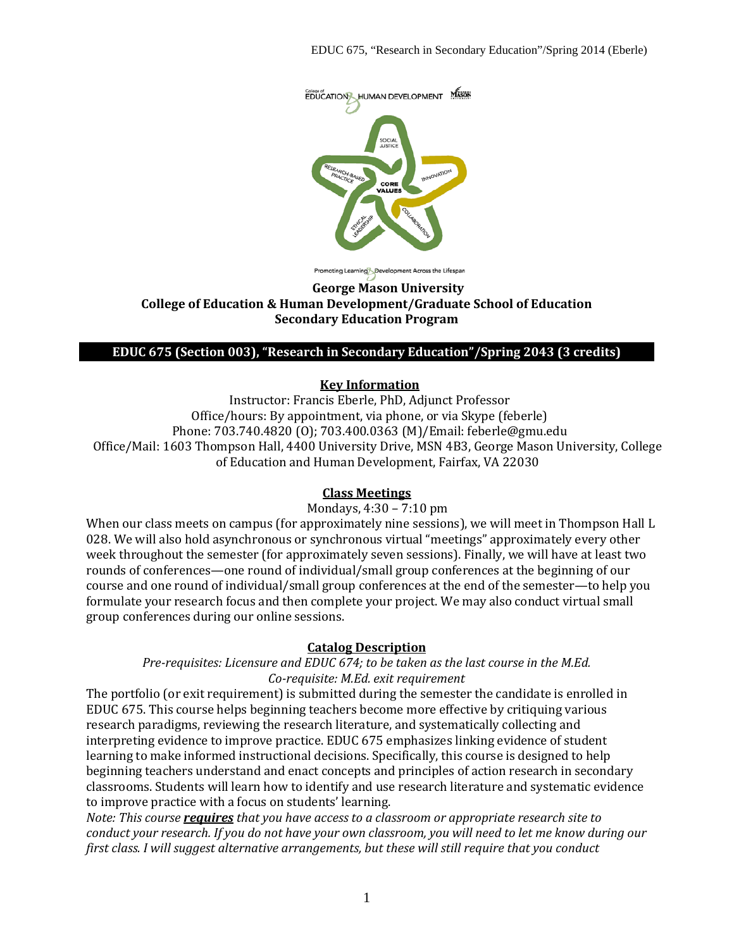

oting Learning Development Across the Lifespan

#### **George Mason University College of Education & Human Development/Graduate School of Education Secondary Education Program**

#### **EDUC 675 (Section 003), "Research in Secondary Education"/Spring 2043 (3 credits)**

#### **Key Information**

Instructor: Francis Eberle, PhD, Adjunct Professor Office/hours: By appointment, via phone, or via Skype (feberle) Phone: 703.740.4820 (O); 703.400.0363 (M)/Email: feberle@gmu.edu Office/Mail: 1603 Thompson Hall, 4400 University Drive, MSN 4B3, George Mason University, College of Education and Human Development, Fairfax, VA 22030

#### **Class Meetings**

Mondays, 4:30 – 7:10 pm

When our class meets on campus (for approximately nine sessions), we will meet in Thompson Hall L 028. We will also hold asynchronous or synchronous virtual "meetings" approximately every other week throughout the semester (for approximately seven sessions). Finally, we will have at least two rounds of conferences—one round of individual/small group conferences at the beginning of our course and one round of individual/small group conferences at the end of the semester—to help you formulate your research focus and then complete your project. We may also conduct virtual small group conferences during our online sessions.

### **Catalog Description**

*Pre-requisites: Licensure and EDUC 674; to be taken as the last course in the M.Ed. Co-requisite: M.Ed. exit requirement*

The portfolio (or exit requirement) is submitted during the semester the candidate is enrolled in EDUC 675. This course helps beginning teachers become more effective by critiquing various research paradigms, reviewing the research literature, and systematically collecting and interpreting evidence to improve practice. EDUC 675 emphasizes linking evidence of student learning to make informed instructional decisions. Specifically, this course is designed to help beginning teachers understand and enact concepts and principles of action research in secondary classrooms. Students will learn how to identify and use research literature and systematic evidence to improve practice with a focus on students' learning.

*Note: This course requires that you have access to a classroom or appropriate research site to conduct your research. If you do not have your own classroom, you will need to let me know during our first class. I will suggest alternative arrangements, but these will still require that you conduct*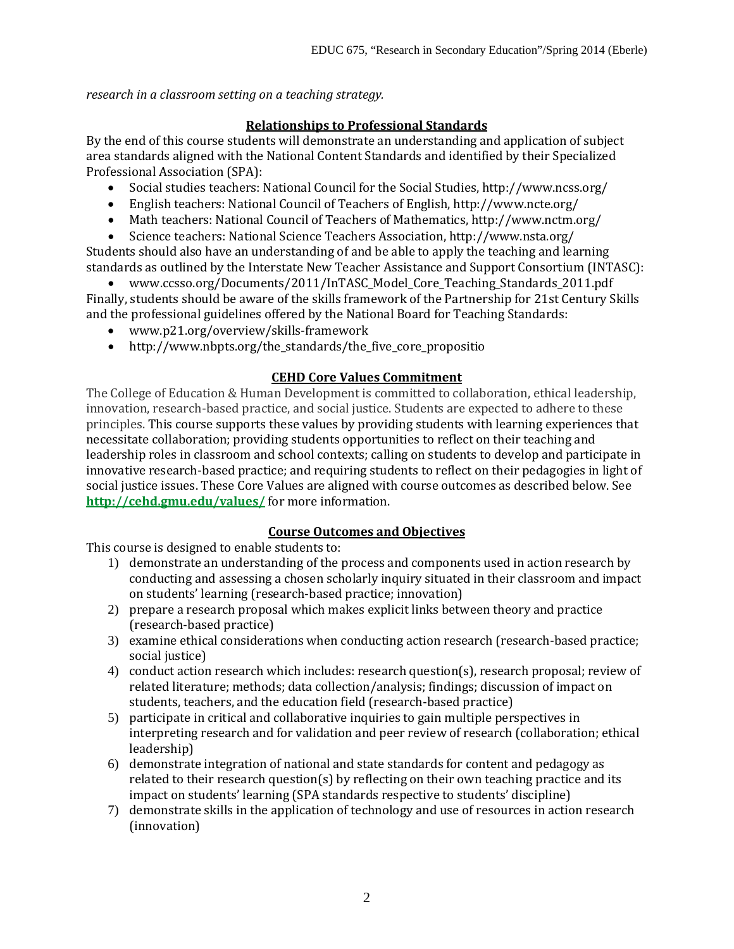*research in a classroom setting on a teaching strategy.*

### **Relationships to Professional Standards**

By the end of this course students will demonstrate an understanding and application of subject area standards aligned with the National Content Standards and identified by their Specialized Professional Association (SPA):

- Social studies teachers: National Council for the Social Studies, http://www.ncss.org/
- English teachers: National Council of Teachers of English, http://www.ncte.org/
- Math teachers: National Council of Teachers of Mathematics, http://www.nctm.org/
- Science teachers: National Science Teachers Association, http://www.nsta.org/

Students should also have an understanding of and be able to apply the teaching and learning standards as outlined by the Interstate New Teacher Assistance and Support Consortium (INTASC):

• www.ccsso.org/Documents/2011/InTASC\_Model\_Core\_Teaching\_Standards\_2011.pdf Finally, students should be aware of the skills framework of the Partnership for 21st Century Skills and the professional guidelines offered by the National Board for Teaching Standards:

- www.p21.org/overview/skills-framework
- http://www.nbpts.org/the\_standards/the\_five\_core\_propositio

### **CEHD Core Values Commitment**

The College of Education & Human Development is committed to collaboration, ethical leadership, innovation, research-based practice, and social justice. Students are expected to adhere to these principles. This course supports these values by providing students with learning experiences that necessitate collaboration; providing students opportunities to reflect on their teaching and leadership roles in classroom and school contexts; calling on students to develop and participate in innovative research-based practice; and requiring students to reflect on their pedagogies in light of social justice issues. These Core Values are aligned with course outcomes as described below. See **<http://cehd.gmu.edu/values/>** for more information.

### **Course Outcomes and Objectives**

This course is designed to enable students to:

- 1) demonstrate an understanding of the process and components used in action research by conducting and assessing a chosen scholarly inquiry situated in their classroom and impact on students' learning (research-based practice; innovation)
- 2) prepare a research proposal which makes explicit links between theory and practice (research-based practice)
- 3) examine ethical considerations when conducting action research (research-based practice; social justice)
- 4) conduct action research which includes: research question(s), research proposal; review of related literature; methods; data collection/analysis; findings; discussion of impact on students, teachers, and the education field (research-based practice)
- 5) participate in critical and collaborative inquiries to gain multiple perspectives in interpreting research and for validation and peer review of research (collaboration; ethical leadership)
- 6) demonstrate integration of national and state standards for content and pedagogy as related to their research question(s) by reflecting on their own teaching practice and its impact on students' learning (SPA standards respective to students' discipline)
- 7) demonstrate skills in the application of technology and use of resources in action research (innovation)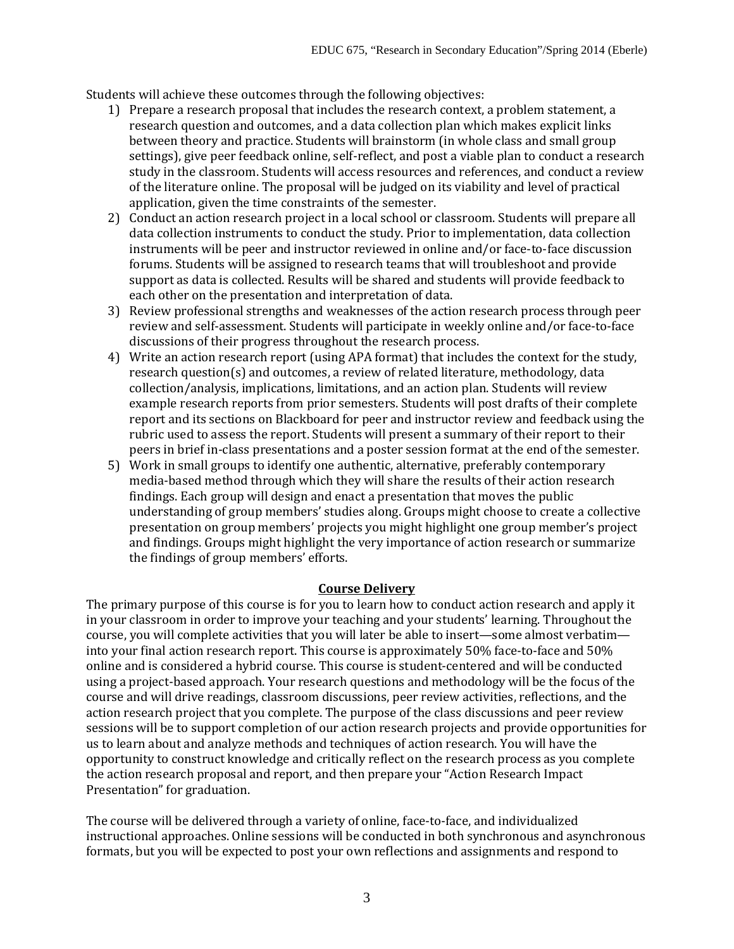Students will achieve these outcomes through the following objectives:

- 1) Prepare a research proposal that includes the research context, a problem statement, a research question and outcomes, and a data collection plan which makes explicit links between theory and practice. Students will brainstorm (in whole class and small group settings), give peer feedback online, self-reflect, and post a viable plan to conduct a research study in the classroom. Students will access resources and references, and conduct a review of the literature online. The proposal will be judged on its viability and level of practical application, given the time constraints of the semester.
- 2) Conduct an action research project in a local school or classroom. Students will prepare all data collection instruments to conduct the study. Prior to implementation, data collection instruments will be peer and instructor reviewed in online and/or face-to-face discussion forums. Students will be assigned to research teams that will troubleshoot and provide support as data is collected. Results will be shared and students will provide feedback to each other on the presentation and interpretation of data.
- 3) Review professional strengths and weaknesses of the action research process through peer review and self-assessment. Students will participate in weekly online and/or face-to-face discussions of their progress throughout the research process.
- 4) Write an action research report (using APA format) that includes the context for the study, research question(s) and outcomes, a review of related literature, methodology, data collection/analysis, implications, limitations, and an action plan. Students will review example research reports from prior semesters. Students will post drafts of their complete report and its sections on Blackboard for peer and instructor review and feedback using the rubric used to assess the report. Students will present a summary of their report to their peers in brief in-class presentations and a poster session format at the end of the semester.
- 5) Work in small groups to identify one authentic, alternative, preferably contemporary media-based method through which they will share the results of their action research findings. Each group will design and enact a presentation that moves the public understanding of group members' studies along. Groups might choose to create a collective presentation on group members' projects you might highlight one group member's project and findings. Groups might highlight the very importance of action research or summarize the findings of group members' efforts.

# **Course Delivery**

The primary purpose of this course is for you to learn how to conduct action research and apply it in your classroom in order to improve your teaching and your students' learning. Throughout the course, you will complete activities that you will later be able to insert—some almost verbatim into your final action research report. This course is approximately 50% face-to-face and 50% online and is considered a hybrid course. This course is student-centered and will be conducted using a project-based approach. Your research questions and methodology will be the focus of the course and will drive readings, classroom discussions, peer review activities, reflections, and the action research project that you complete. The purpose of the class discussions and peer review sessions will be to support completion of our action research projects and provide opportunities for us to learn about and analyze methods and techniques of action research. You will have the opportunity to construct knowledge and critically reflect on the research process as you complete the action research proposal and report, and then prepare your "Action Research Impact Presentation" for graduation.

The course will be delivered through a variety of online, face-to-face, and individualized instructional approaches. Online sessions will be conducted in both synchronous and asynchronous formats, but you will be expected to post your own reflections and assignments and respond to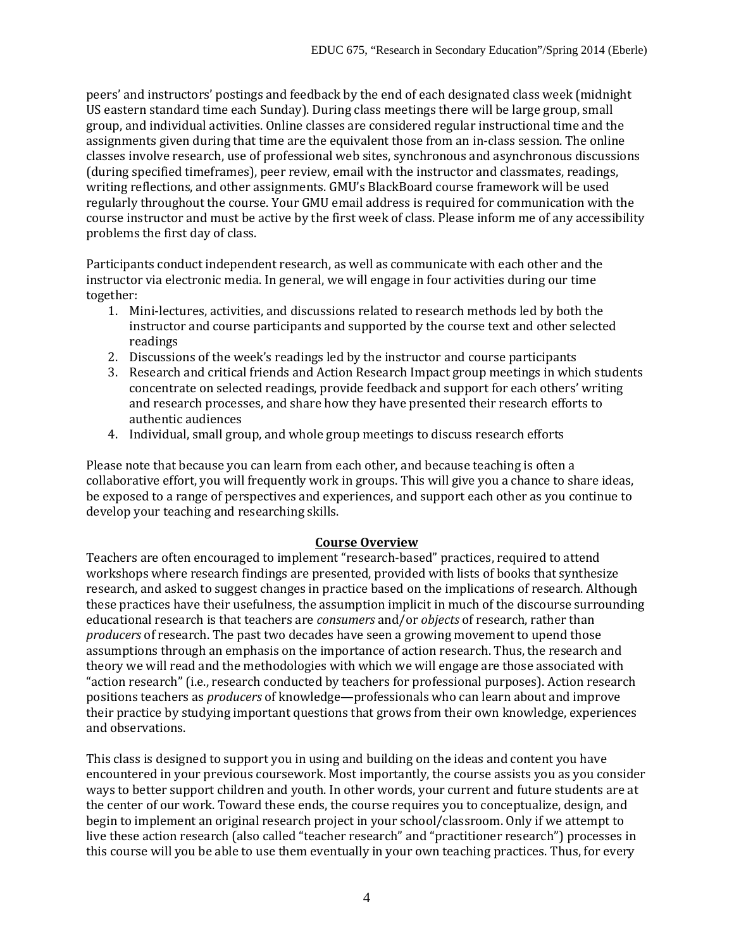peers' and instructors' postings and feedback by the end of each designated class week (midnight US eastern standard time each Sunday). During class meetings there will be large group, small group, and individual activities. Online classes are considered regular instructional time and the assignments given during that time are the equivalent those from an in-class session. The online classes involve research, use of professional web sites, synchronous and asynchronous discussions (during specified timeframes), peer review, email with the instructor and classmates, readings, writing reflections, and other assignments. GMU's BlackBoard course framework will be used regularly throughout the course. Your GMU email address is required for communication with the course instructor and must be active by the first week of class. Please inform me of any accessibility problems the first day of class.

Participants conduct independent research, as well as communicate with each other and the instructor via electronic media. In general, we will engage in four activities during our time together:

- 1. Mini-lectures, activities, and discussions related to research methods led by both the instructor and course participants and supported by the course text and other selected readings
- 2. Discussions of the week's readings led by the instructor and course participants
- 3. Research and critical friends and Action Research Impact group meetings in which students concentrate on selected readings, provide feedback and support for each others' writing and research processes, and share how they have presented their research efforts to authentic audiences
- 4. Individual, small group, and whole group meetings to discuss research efforts

Please note that because you can learn from each other, and because teaching is often a collaborative effort, you will frequently work in groups. This will give you a chance to share ideas, be exposed to a range of perspectives and experiences, and support each other as you continue to develop your teaching and researching skills.

### **Course Overview**

Teachers are often encouraged to implement "research-based" practices, required to attend workshops where research findings are presented, provided with lists of books that synthesize research, and asked to suggest changes in practice based on the implications of research. Although these practices have their usefulness, the assumption implicit in much of the discourse surrounding educational research is that teachers are *consumers* and/or *objects* of research, rather than *producers* of research. The past two decades have seen a growing movement to upend those assumptions through an emphasis on the importance of action research. Thus, the research and theory we will read and the methodologies with which we will engage are those associated with "action research" (i.e., research conducted by teachers for professional purposes). Action research positions teachers as *producers* of knowledge—professionals who can learn about and improve their practice by studying important questions that grows from their own knowledge, experiences and observations.

This class is designed to support you in using and building on the ideas and content you have encountered in your previous coursework. Most importantly, the course assists you as you consider ways to better support children and youth. In other words, your current and future students are at the center of our work. Toward these ends, the course requires you to conceptualize, design, and begin to implement an original research project in your school/classroom. Only if we attempt to live these action research (also called "teacher research" and "practitioner research") processes in this course will you be able to use them eventually in your own teaching practices. Thus, for every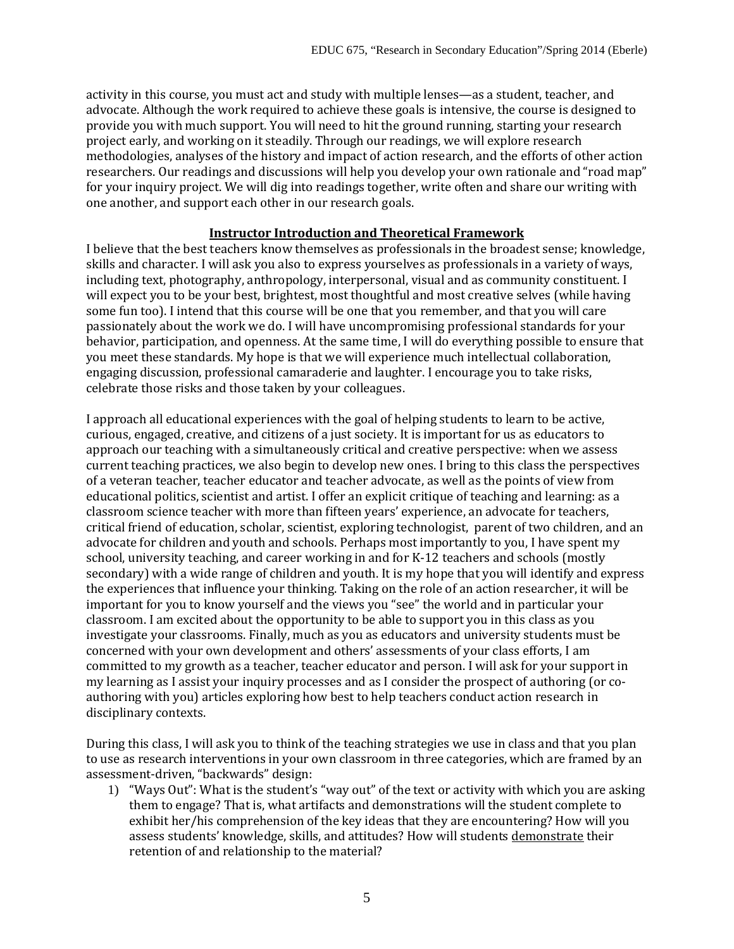activity in this course, you must act and study with multiple lenses—as a student, teacher, and advocate. Although the work required to achieve these goals is intensive, the course is designed to provide you with much support. You will need to hit the ground running, starting your research project early, and working on it steadily. Through our readings, we will explore research methodologies, analyses of the history and impact of action research, and the efforts of other action researchers. Our readings and discussions will help you develop your own rationale and "road map" for your inquiry project. We will dig into readings together, write often and share our writing with one another, and support each other in our research goals.

#### **Instructor Introduction and Theoretical Framework**

I believe that the best teachers know themselves as professionals in the broadest sense; knowledge, skills and character. I will ask you also to express yourselves as professionals in a variety of ways, including text, photography, anthropology, interpersonal, visual and as community constituent. I will expect you to be your best, brightest, most thoughtful and most creative selves (while having some fun too). I intend that this course will be one that you remember, and that you will care passionately about the work we do. I will have uncompromising professional standards for your behavior, participation, and openness. At the same time, I will do everything possible to ensure that you meet these standards. My hope is that we will experience much intellectual collaboration, engaging discussion, professional camaraderie and laughter. I encourage you to take risks, celebrate those risks and those taken by your colleagues.

I approach all educational experiences with the goal of helping students to learn to be active, curious, engaged, creative, and citizens of a just society. It is important for us as educators to approach our teaching with a simultaneously critical and creative perspective: when we assess current teaching practices, we also begin to develop new ones. I bring to this class the perspectives of a veteran teacher, teacher educator and teacher advocate, as well as the points of view from educational politics, scientist and artist. I offer an explicit critique of teaching and learning: as a classroom science teacher with more than fifteen years' experience, an advocate for teachers, critical friend of education, scholar, scientist, exploring technologist, parent of two children, and an advocate for children and youth and schools. Perhaps most importantly to you, I have spent my school, university teaching, and career working in and for K-12 teachers and schools (mostly secondary) with a wide range of children and youth. It is my hope that you will identify and express the experiences that influence your thinking. Taking on the role of an action researcher, it will be important for you to know yourself and the views you "see" the world and in particular your classroom. I am excited about the opportunity to be able to support you in this class as you investigate your classrooms. Finally, much as you as educators and university students must be concerned with your own development and others' assessments of your class efforts, I am committed to my growth as a teacher, teacher educator and person. I will ask for your support in my learning as I assist your inquiry processes and as I consider the prospect of authoring (or coauthoring with you) articles exploring how best to help teachers conduct action research in disciplinary contexts.

During this class, I will ask you to think of the teaching strategies we use in class and that you plan to use as research interventions in your own classroom in three categories, which are framed by an assessment-driven, "backwards" design:

1) "Ways Out": What is the student's "way out" of the text or activity with which you are asking them to engage? That is, what artifacts and demonstrations will the student complete to exhibit her/his comprehension of the key ideas that they are encountering? How will you assess students' knowledge, skills, and attitudes? How will students demonstrate their retention of and relationship to the material?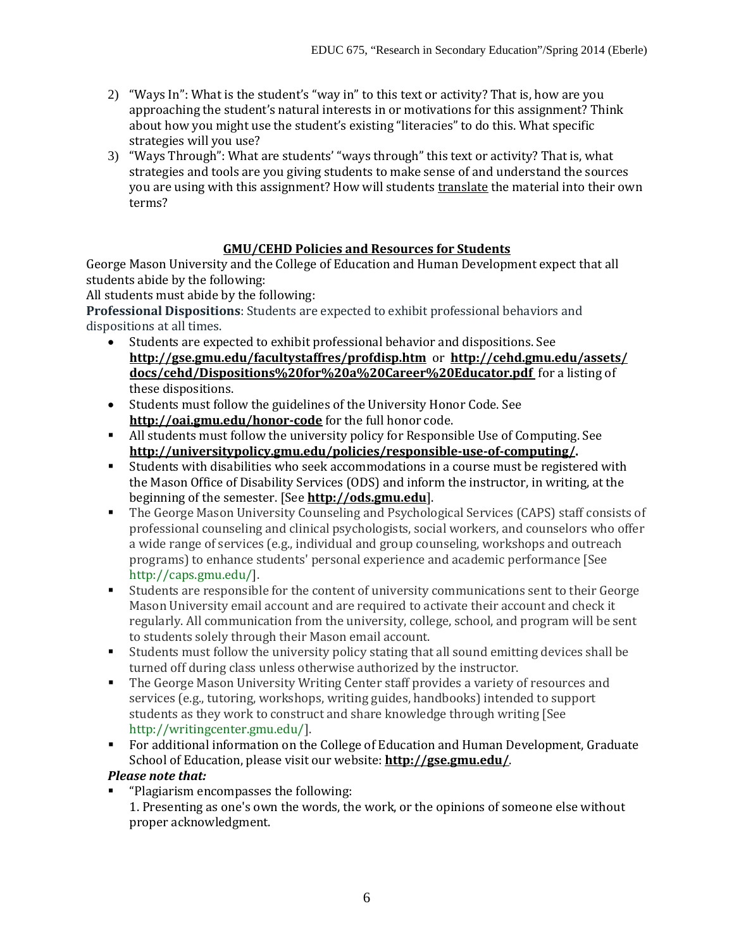- 2) "Ways In": What is the student's "way in" to this text or activity? That is, how are you approaching the student's natural interests in or motivations for this assignment? Think about how you might use the student's existing "literacies" to do this. What specific strategies will you use?
- 3) "Ways Through": What are students' "ways through" this text or activity? That is, what strategies and tools are you giving students to make sense of and understand the sources you are using with this assignment? How will students translate the material into their own terms?

# **GMU/CEHD Policies and Resources for Students**

George Mason University and the College of Education and Human Development expect that all students abide by the following:

All students must abide by the following:

**Professional Dispositions**: Students are expected to exhibit professional behaviors and dispositions at all times.

- Students are expected to exhibit professional behavior and dispositions. See **http://gse.gmu.edu/facultystaffres/profdisp.htm** or **[http://cehd.gmu.edu/assets/](http://cehd.gmu.edu/assets/%20docs/cehd/Dispositions%20for%20a%20Career%20Educator.pdf)  [docs/cehd/Dispositions%20for%20a%20Career%20Educator.pdf](http://cehd.gmu.edu/assets/%20docs/cehd/Dispositions%20for%20a%20Career%20Educator.pdf)** for a listing of these dispositions.
- Students must follow the guidelines of the University Honor Code. See **http://oai.gmu.edu/honor-code** for the full honor code.
- All students must follow the university policy for Responsible Use of Computing. See **[http://universitypolicy.gmu.edu/policies/responsible-use-of-computing/.](http://universitypolicy.gmu.edu/policies/responsible-use-of-computing/)**
- Students with disabilities who seek accommodations in a course must be registered with the Mason Office of Disability Services (ODS) and inform the instructor, in writing, at the beginning of the semester. [See **[http://ods.gmu.edu](http://ods.gmu.edu/)**].
- The George Mason University Counseling and Psychological Services (CAPS) staff consists of professional counseling and clinical psychologists, social workers, and counselors who offer a wide range of services (e.g., individual and group counseling, workshops and outreach programs) to enhance students' personal experience and academic performance [See [http://caps.gmu.edu/\]](http://caps.gmu.edu/).
- Students are responsible for the content of university communications sent to their George Mason University email account and are required to activate their account and check it regularly. All communication from the university, college, school, and program will be sent to students solely through their Mason email account.
- Students must follow the university policy stating that all sound emitting devices shall be turned off during class unless otherwise authorized by the instructor.
- The George Mason University Writing Center staff provides a variety of resources and services (e.g., tutoring, workshops, writing guides, handbooks) intended to support students as they work to construct and share knowledge through writing [See [http://writingcenter.gmu.edu/\]](http://writingcenter.gmu.edu/).
- **For additional information on the College of Education and Human Development, Graduate** School of Education, please visit our website: **<http://gse.gmu.edu/>**.

# *Please note that:*

 "Plagiarism encompasses the following: 1. Presenting as one's own the words, the work, or the opinions of someone else without proper acknowledgment.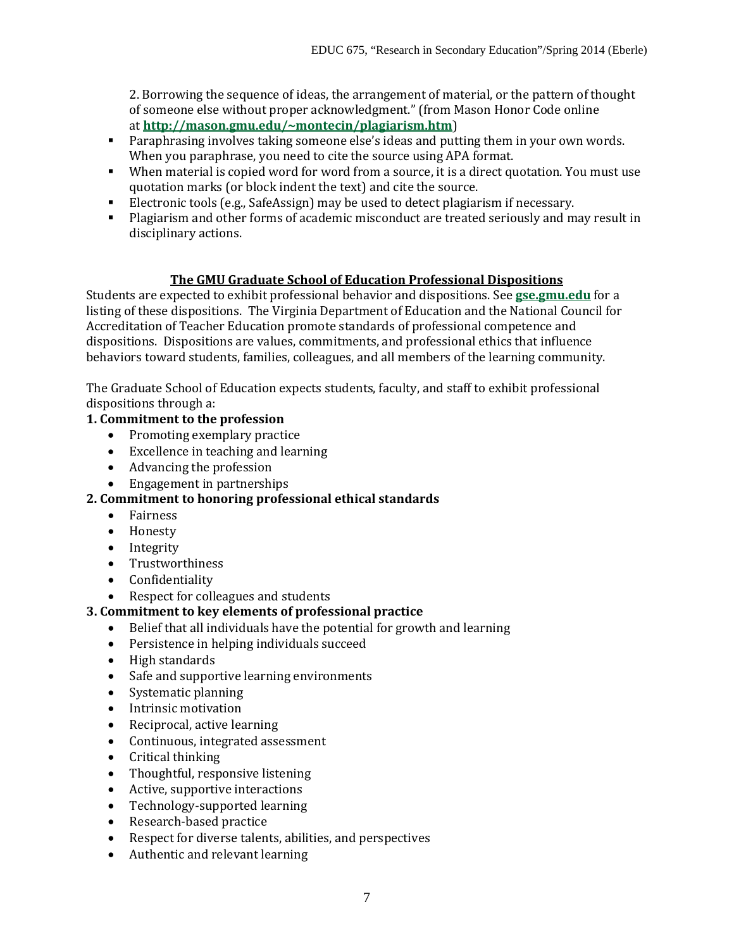2. Borrowing the sequence of ideas, the arrangement of material, or the pattern of thought of someone else without proper acknowledgment." (from Mason Honor Code online at **[http://mason.gmu.edu/~montecin/plagiarism.htm](http://mason.gmu.edu/%7Emontecin/plagiarism.htm)**)

- Paraphrasing involves taking someone else's ideas and putting them in your own words. When you paraphrase, you need to cite the source using APA format.
- When material is copied word for word from a source, it is a direct quotation. You must use quotation marks (or block indent the text) and cite the source.
- Electronic tools (e.g., SafeAssign) may be used to detect plagiarism if necessary.
- Plagiarism and other forms of academic misconduct are treated seriously and may result in disciplinary actions.

# **The GMU Graduate School of Education Professional Dispositions**

Students are expected to exhibit professional behavior and dispositions. See **[gse.gmu.edu](http://gse.gmu.edu/)** for a listing of these dispositions. The Virginia Department of Education and the National Council for Accreditation of Teacher Education promote standards of professional competence and dispositions. Dispositions are values, commitments, and professional ethics that influence behaviors toward students, families, colleagues, and all members of the learning community.

The Graduate School of Education expects students, faculty, and staff to exhibit professional dispositions through a:

# **1. Commitment to the profession**

- Promoting exemplary practice
- Excellence in teaching and learning
- Advancing the profession
- Engagement in partnerships

# **2. Commitment to honoring professional ethical standards**

- Fairness
- Honesty
- Integrity
- Trustworthiness
- Confidentiality<br>• Respect for coll
- Respect for colleagues and students

# **3. Commitment to key elements of professional practice**

- Belief that all individuals have the potential for growth and learning
- Persistence in helping individuals succeed
- High standards
- Safe and supportive learning environments
- Systematic planning
- Intrinsic motivation
- Reciprocal, active learning
- Continuous, integrated assessment
- Critical thinking
- Thoughtful, responsive listening
- Active, supportive interactions
- Technology-supported learning
- Research-based practice<br>• Respect for diverse talen
- Respect for diverse talents, abilities, and perspectives
- Authentic and relevant learning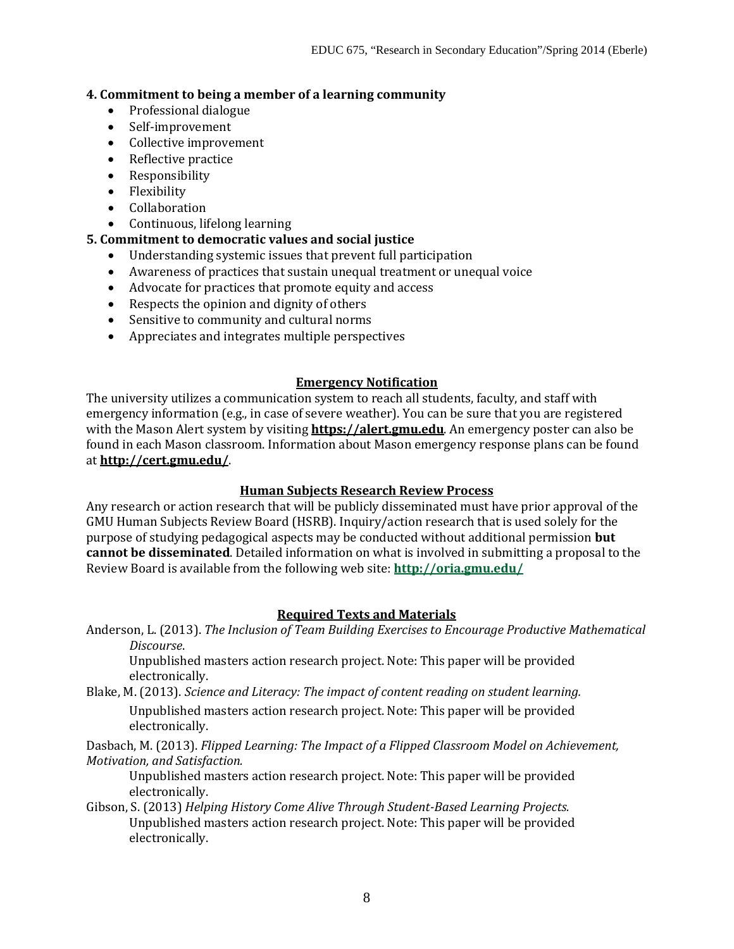### **4. Commitment to being a member of a learning community**

- Professional dialogue
- Self-improvement
- Collective improvement
- Reflective practice
- Responsibility
- Flexibility
- Collaboration
- Continuous, lifelong learning

# **5. Commitment to democratic values and social justice**

- Understanding systemic issues that prevent full participation
- Awareness of practices that sustain unequal treatment or unequal voice
- Advocate for practices that promote equity and access
- Respects the opinion and dignity of others
- Sensitive to community and cultural norms
- Appreciates and integrates multiple perspectives

### **Emergency Notification**

The university utilizes a communication system to reach all students, faculty, and staff with emergency information (e.g., in case of severe weather). You can be sure that you are registered with the Mason Alert system by visiting **[https://alert.gmu.edu](https://alert.gmu.edu/)**. An emergency poster can also be found in each Mason classroom. Information about Mason emergency response plans can be found at **<http://cert.gmu.edu/>**.

### **Human Subjects Research Review Process**

Any research or action research that will be publicly disseminated must have prior approval of the GMU Human Subjects Review Board (HSRB). Inquiry/action research that is used solely for the purpose of studying pedagogical aspects may be conducted without additional permission **but cannot be disseminated**. Detailed information on what is involved in submitting a proposal to the Review Board is available from the following web site: **<http://oria.gmu.edu/>**

### **Required Texts and Materials**

Anderson, L. (2013). *The Inclusion of Team Building Exercises to Encourage Productive Mathematical Discourse*.

Unpublished masters action research project. Note: This paper will be provided electronically.

Blake, M. (2013). *Science and Literacy: The impact of content reading on student learning.*

Unpublished masters action research project. Note: This paper will be provided electronically.

Dasbach, M. (2013). *Flipped Learning: The Impact of a Flipped Classroom Model on Achievement, Motivation, and Satisfaction.*

Unpublished masters action research project. Note: This paper will be provided electronically.

Gibson, S. (2013) *Helping History Come Alive Through Student-Based Learning Projects.* Unpublished masters action research project. Note: This paper will be provided electronically.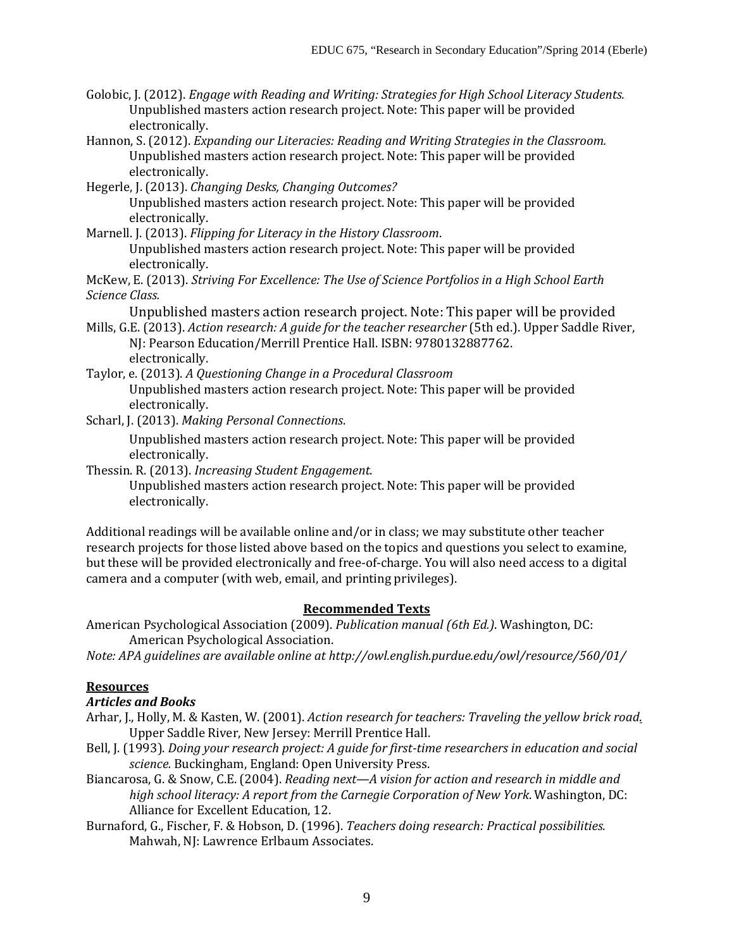Golobic, J. (2012). *Engage with Reading and Writing: Strategies for High School Literacy Students.*  Unpublished masters action research project. Note: This paper will be provided electronically.

Hannon, S. (2012). *Expanding our Literacies: Reading and Writing Strategies in the Classroom.* Unpublished masters action research project. Note: This paper will be provided electronically.

Hegerle, J. (2013). *Changing Desks, Changing Outcomes?*

Unpublished masters action research project. Note: This paper will be provided electronically.

Marnell. J. (2013). *Flipping for Literacy in the History Classroom*.

Unpublished masters action research project. Note: This paper will be provided electronically.

McKew, E. (2013). *Striving For Excellence: The Use of Science Portfolios in a High School Earth Science Class.*

Unpublished masters action research project. Note: This paper will be provided

- Mills, G.E. (2013). *Action research: A guide for the teacher researcher* (5th ed.). Upper Saddle River, NJ: Pearson Education/Merrill Prentice Hall. ISBN: 9780132887762. electronically.
- Taylor, e. (2013). *A Questioning Change in a Procedural Classroom* Unpublished masters action research project. Note: This paper will be provided electronically.
- Scharl, J. (2013). *Making Personal Connections*.

Unpublished masters action research project. Note: This paper will be provided electronically.

Thessin. R. (2013). *Increasing Student Engagement*.

Unpublished masters action research project. Note: This paper will be provided electronically.

Additional readings will be available online and/or in class; we may substitute other teacher research projects for those listed above based on the topics and questions you select to examine, but these will be provided electronically and free-of-charge. You will also need access to a digital camera and a computer (with web, email, and printing privileges).

### **Recommended Texts**

American Psychological Association (2009). *Publication manual (6th Ed.)*. Washington, DC: American Psychological Association.

*Note: APA guidelines are available online at http://owl.english.purdue.edu/owl/resource/560/01/*

### **Resources**

### *Articles and Books*

- Arhar, J., Holly, M. & Kasten, W. (2001). *Action research for teachers: Traveling the yellow brick road*. Upper Saddle River, New Jersey: Merrill Prentice Hall.
- Bell, J. (1993). *Doing your research project: A guide for first-time researchers in education and social science.* Buckingham, England: Open University Press.
- Biancarosa, G. & Snow, C.E. (2004). *Reading next—A vision for action and research in middle and high school literacy: A report from the Carnegie Corporation of New York*. Washington, DC: Alliance for Excellent Education, 12.
- Burnaford, G., Fischer, F. & Hobson, D. (1996). *Teachers doing research: Practical possibilities.* Mahwah, NJ: Lawrence Erlbaum Associates.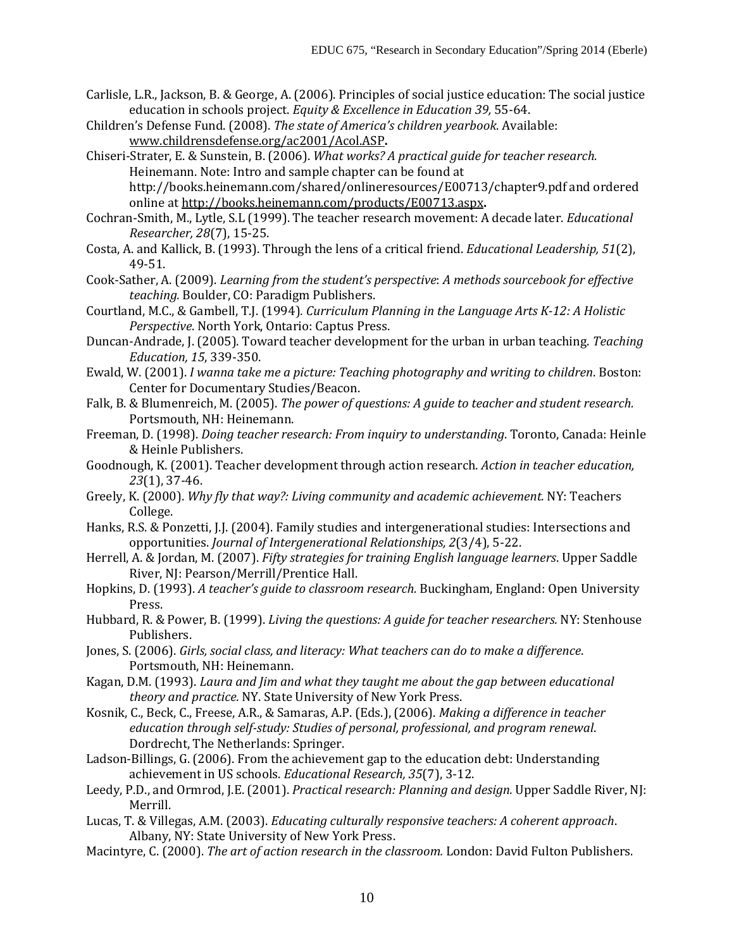- Carlisle, L.R., Jackson, B. & George, A. (2006). Principles of social justice education: The social justice education in schools project. *Equity & Excellence in Education 39,* 55-64.
- Children's Defense Fund. (2008). *The state of America's children yearbook*. Available: [www.childrensdefense.org/ac2001/Acol.ASP](http://www.childrensdefense.org/ac2001/Acol.ASP)**.**
- Chiseri-Strater, E. & Sunstein, B. (2006). *What works? A practical guide for teacher research.*  Heinemann. Note: Intro and sample chapter can be found at http://books.heinemann.com/shared/onlineresources/E00713/chapter9.pdf and ordered online a[t http://books.heinemann.com/products/E00713.aspx](http://books.heinemann.com/products/E00713.aspx)**.**
- Cochran-Smith, M., Lytle, S.L (1999). The teacher research movement: A decade later. *Educational Researcher, 28*(7), 15-25.
- Costa, A. and Kallick, B. (1993). Through the lens of a critical friend. *Educational Leadership, 51*(2), 49-51.
- Cook-Sather, A. (2009). *Learning from the student's perspective*: *A methods sourcebook for effective teaching.* Boulder, CO: Paradigm Publishers.
- Courtland, M.C., & Gambell, T.J. (1994)*. Curriculum Planning in the Language Arts K-12: A Holistic Perspective*. North York, Ontario: Captus Press.
- Duncan-Andrade, J. (2005). Toward teacher development for the urban in urban teaching. *Teaching Education, 15*, 339-350.
- Ewald, W. (2001). *I wanna take me a picture: Teaching photography and writing to children*. Boston: Center for Documentary Studies/Beacon.
- Falk, B. & Blumenreich, M. (2005). *The power of questions: A guide to teacher and student research.*  Portsmouth, NH: Heinemann.
- Freeman, D. (1998). *Doing teacher research: From inquiry to understanding*. Toronto, Canada: Heinle & Heinle Publishers.
- Goodnough, K. (2001). Teacher development through action research. *Action in teacher education, 23*(1), 37-46.
- Greely, K. (2000). *Why fly that way?: Living community and academic achievement.* NY: Teachers College.
- Hanks, R.S. & Ponzetti, J.J. (2004). Family studies and intergenerational studies: Intersections and opportunities. *Journal of Intergenerational Relationships, 2*(3/4), 5-22.
- Herrell, A. & Jordan, M. (2007). *Fifty strategies for training English language learners*. Upper Saddle River, NJ: Pearson/Merrill/Prentice Hall.
- Hopkins, D. (1993). *A teacher's guide to classroom research.* Buckingham, England: Open University Press.
- Hubbard, R. & Power, B. (1999). *Living the questions: A guide for teacher researchers.* NY: Stenhouse Publishers.
- Jones, S. (2006). *Girls, social class, and literacy: What teachers can do to make a difference*. Portsmouth, NH: Heinemann.
- Kagan, D.M. (1993). *Laura and Jim and what they taught me about the gap between educational theory and practice.* NY. State University of New York Press.
- Kosnik, C., Beck, C., Freese, A.R., & Samaras, A.P. (Eds.), (2006). *Making a difference in teacher education through self-study: Studies of personal, professional, and program renewal*. Dordrecht, The Netherlands: Springer.
- Ladson-Billings, G. (2006). From the achievement gap to the education debt: Understanding achievement in US schools. *Educational Research, 35*(7), 3-12.
- Leedy, P.D., and Ormrod, J.E. (2001). *Practical research: Planning and design.* Upper Saddle River, NJ: Merrill.
- Lucas, T. & Villegas, A.M. (2003). *Educating culturally responsive teachers: A coherent approach*. Albany, NY: State University of New York Press.
- Macintyre, C. (2000). *The art of action research in the classroom.* London: David Fulton Publishers.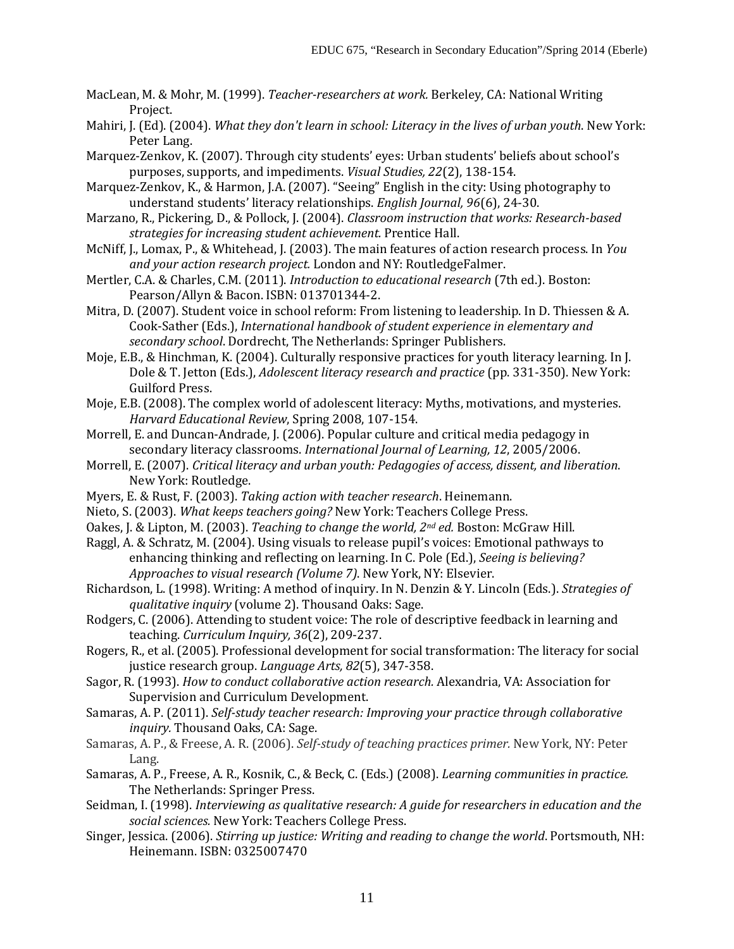- MacLean, M. & Mohr, M. (1999). *Teacher-researchers at work.* Berkeley, CA: National Writing Project.
- Mahiri, J. (Ed). (2004). *What they don't learn in school: Literacy in the lives of urban youth*. New York: Peter Lang.
- Marquez-Zenkov, K. (2007). Through city students' eyes: Urban students' beliefs about school's purposes, supports, and impediments. *Visual Studies, 22*(2), 138-154.
- Marquez-Zenkov, K., & Harmon, J.A. (2007). "Seeing" English in the city: Using photography to understand students' literacy relationships. *English Journal, 96*(6), 24-30.
- Marzano, R., Pickering, D., & Pollock, J. (2004). *Classroom instruction that works: Research-based strategies for increasing student achievement.* Prentice Hall.
- McNiff, J., Lomax, P., & Whitehead, J. (2003). The main features of action research process. In *You and your action research project.* London and NY: RoutledgeFalmer.
- Mertler, C.A. & Charles, C.M. (2011). *Introduction to educational research* (7th ed.). Boston: Pearson/Allyn & Bacon. ISBN: 013701344-2.
- Mitra, D. (2007). Student voice in school reform: From listening to leadership. In D. Thiessen & A. Cook-Sather (Eds.), *International handbook of student experience in elementary and secondary school*. Dordrecht, The Netherlands: Springer Publishers.
- Moje, E.B., & Hinchman, K. (2004). Culturally responsive practices for youth literacy learning. In J. Dole & T. Jetton (Eds.), *Adolescent literacy research and practice* (pp. 331-350). New York: Guilford Press.
- Moje, E.B. (2008). The complex world of adolescent literacy: Myths, motivations, and mysteries. *Harvard Educational Review*, Spring 2008, 107-154.
- Morrell, E. and Duncan-Andrade, J. (2006). Popular culture and critical media pedagogy in secondary literacy classrooms. *International Journal of Learning, 12*, 2005/2006.
- Morrell, E. (2007). *Critical literacy and urban youth: Pedagogies of access, dissent, and liberation*. New York: Routledge.
- Myers, E. & Rust, F. (2003). *Taking action with teacher research*. Heinemann.
- Nieto, S. (2003). *What keeps teachers going?* New York: Teachers College Press.
- Oakes, J. & Lipton, M. (2003). *Teaching to change the world, 2nd ed.* Boston: McGraw Hill.
- Raggl, A. & Schratz, M. (2004). Using visuals to release pupil's voices: Emotional pathways to enhancing thinking and reflecting on learning. In C. Pole (Ed.), *Seeing is believing? Approaches to visual research (Volume 7)*. New York, NY: Elsevier.
- Richardson, L. (1998). Writing: A method of inquiry. In N. Denzin & Y. Lincoln (Eds.). *Strategies of qualitative inquiry* (volume 2). Thousand Oaks: Sage.
- Rodgers, C. (2006). Attending to student voice: The role of descriptive feedback in learning and teaching. *Curriculum Inquiry, 36*(2), 209-237.
- Rogers, R., et al. (2005). Professional development for social transformation: The literacy for social justice research group. *Language Arts, 82*(5), 347-358.
- Sagor, R. (1993). *How to conduct collaborative action research.* Alexandria, VA: Association for Supervision and Curriculum Development.
- Samaras, A. P. (2011). *Self-study teacher research: Improving your practice through collaborative inquiry.* Thousand Oaks, CA: Sage.
- Samaras, A. P., & Freese, A. R. (2006). *Self-study of teaching practices primer.* New York, NY: Peter Lang.
- Samaras, A. P., Freese, A. R., Kosnik, C., & Beck, C. (Eds.) (2008). *Learning communities in practice.*  The Netherlands: Springer Press.
- Seidman, I. (1998). *Interviewing as qualitative research: A guide for researchers in education and the social sciences.* New York: Teachers College Press.
- Singer, Jessica. (2006). *Stirring up justice: Writing and reading to change the world*. Portsmouth, NH: Heinemann. ISBN: 0325007470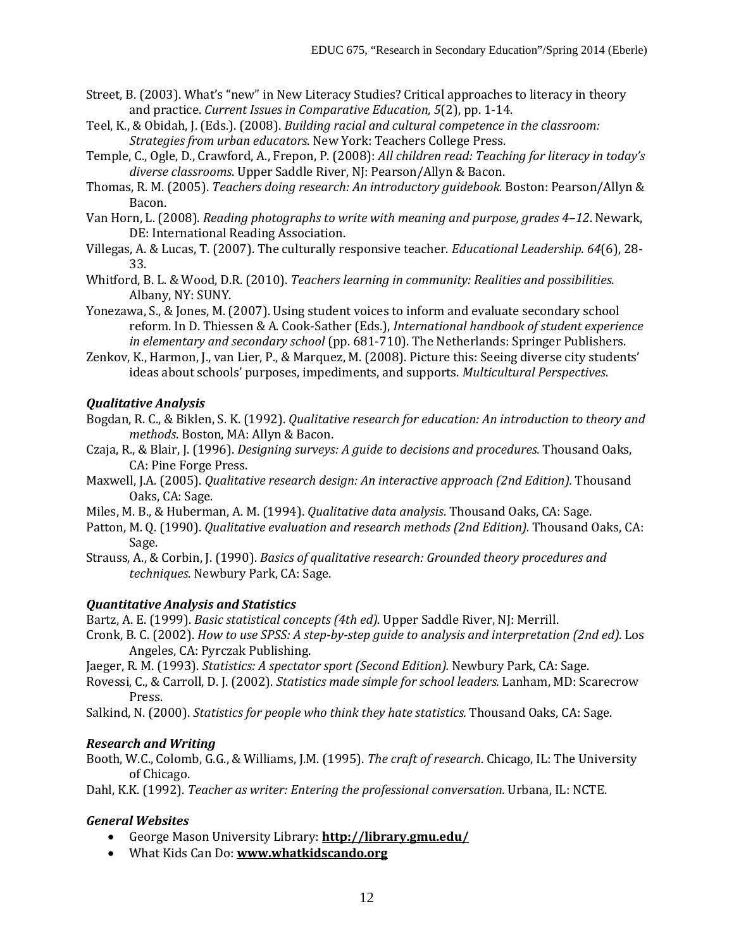- Street, B. (2003). What's "new" in New Literacy Studies? Critical approaches to literacy in theory and practice. *Current Issues in Comparative Education, 5*(2), pp. 1-14.
- Teel, K., & Obidah, J. (Eds.). (2008). *Building racial and cultural competence in the classroom: Strategies from urban educators*. New York: Teachers College Press.
- Temple, C., Ogle, D., Crawford, A., Frepon, P. (2008): *All children read: Teaching for literacy in today's diverse classrooms*. Upper Saddle River, NJ: Pearson/Allyn & Bacon.
- Thomas, R. M. (2005). *Teachers doing research: An introductory guidebook.* Boston: Pearson/Allyn & Bacon.
- Van Horn, L. (2008). *Reading photographs to write with meaning and purpose, grades 4–12*. Newark, DE: International Reading Association.
- Villegas, A. & Lucas, T. (2007). The culturally responsive teacher. *Educational Leadership. 64*(6), 28- 33.
- Whitford, B. L. & Wood, D.R. (2010). *Teachers learning in community: Realities and possibilities*. Albany, NY: SUNY.
- Yonezawa, S., & Jones, M. (2007). Using student voices to inform and evaluate secondary school reform. In D. Thiessen & A. Cook-Sather (Eds.), *International handbook of student experience in elementary and secondary school* (pp. 681-710). The Netherlands: Springer Publishers.
- Zenkov, K., Harmon, J., van Lier, P., & Marquez, M. (2008). Picture this: Seeing diverse city students' ideas about schools' purposes, impediments, and supports. *Multicultural Perspectives*.

# *Qualitative Analysis*

- Bogdan, R. C., & Biklen, S. K. (1992). *Qualitative research for education: An introduction to theory and methods*. Boston, MA: Allyn & Bacon.
- Czaja, R., & Blair, J. (1996). *Designing surveys: A guide to decisions and procedures.* Thousand Oaks, CA: Pine Forge Press.
- Maxwell, J.A. (2005). *Qualitative research design: An interactive approach (2nd Edition).* Thousand Oaks, CA: Sage.
- Miles, M. B., & Huberman, A. M. (1994). *Qualitative data analysis*. Thousand Oaks, CA: Sage.
- Patton, M. Q. (1990). *Qualitative evaluation and research methods (2nd Edition)*. Thousand Oaks, CA: Sage.
- Strauss, A., & Corbin, J. (1990). *Basics of qualitative research: Grounded theory procedures and techniques*. Newbury Park, CA: Sage.

# *Quantitative Analysis and Statistics*

Bartz, A. E. (1999). *Basic statistical concepts (4th ed)*. Upper Saddle River, NJ: Merrill.

- Cronk, B. C. (2002). *How to use SPSS: A step-by-step guide to analysis and interpretation (2nd ed).* Los Angeles, CA: Pyrczak Publishing.
- Jaeger, R. M. (1993). *Statistics: A spectator sport (Second Edition).* Newbury Park, CA: Sage.
- Rovessi, C., & Carroll, D. J. (2002). *Statistics made simple for school leaders.* Lanham, MD: Scarecrow Press.

Salkind, N. (2000). *Statistics for people who think they hate statistics.* Thousand Oaks, CA: Sage.

# *Research and Writing*

Booth, W.C., Colomb, G.G., & Williams, J.M. (1995). *The craft of research*. Chicago, IL: The University of Chicago.

Dahl, K.K. (1992). *Teacher as writer: Entering the professional conversation.* Urbana, IL: NCTE.

# *General Websites*

- George Mason University Library: **<http://library.gmu.edu/>**
- What Kids Can Do: **[www.whatkidscando.org](http://www.whatkidscando.org/)**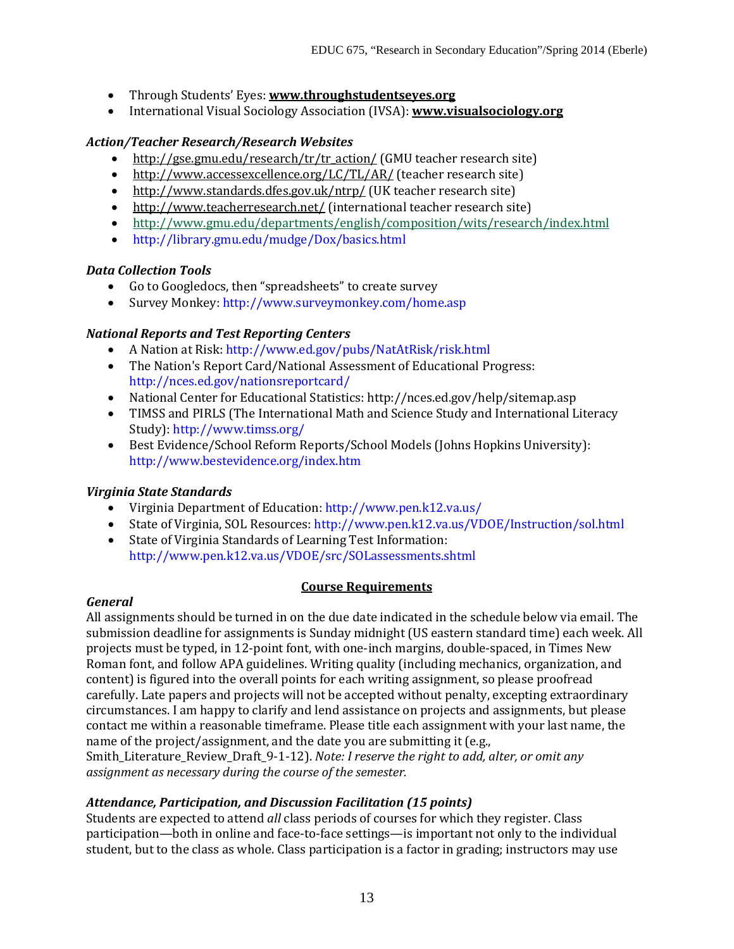- Through Students' Eyes: **[www.throughstudentseyes.org](http://www.throughstudentseyes.org/)**
- International Visual Sociology Association (IVSA): **[www.visualsociology.org](http://www.visualsociology.org/)**

## *Action/Teacher Research/Research Websites*

- [http://gse.gmu.edu/research/tr/tr\\_action/](http://gse.gmu.edu/research/tr/tr_action/) (GMU teacher research site)
- <http://www.accessexcellence.org/LC/TL/AR/> (teacher research site)
- <http://www.standards.dfes.gov.uk/ntrp/> (UK teacher research site)
- <http://www.teacherresearch.net/> (international teacher research site)
- <http://www.gmu.edu/departments/english/composition/wits/research/index.html>
- http://library.gmu.edu/mudge/Dox/basics.html

### *Data Collection Tools*

- Go to Googledocs, then "spreadsheets" to create survey<br>• Survey Monkey: http://www.surveymonkey.com/home
- Survey Monkey: http://www.surveymonkey.com/home.asp

### *National Reports and Test Reporting Centers*

- A Nation at Risk: http://www.ed.gov/pubs/NatAtRisk/risk.html
- The Nation's Report Card/National Assessment of Educational Progress: http://nces.ed.gov/nationsreportcard/
- National Center for Educational Statistics: http://nces.ed.gov/help/sitemap.asp
- TIMSS and PIRLS (The International Math and Science Study and International Literacy Study): http://www.timss.org/
- Best Evidence/School Reform Reports/School Models (Johns Hopkins University): http://www.bestevidence.org/index.htm

# *Virginia State Standards*

- Virginia Department of Education: http://www.pen.k12.va.us/
- State of Virginia, SOL Resources: http://www.pen.k12.va.us/VDOE/Instruction/sol.html
- State of Virginia Standards of Learning Test Information: http://www.pen.k12.va.us/VDOE/src/SOLassessments.shtml

# **Course Requirements**

### *General*

All assignments should be turned in on the due date indicated in the schedule below via email. The submission deadline for assignments is Sunday midnight (US eastern standard time) each week. All projects must be typed, in 12-point font, with one-inch margins, double-spaced, in Times New Roman font, and follow APA guidelines. Writing quality (including mechanics, organization, and content) is figured into the overall points for each writing assignment, so please proofread carefully. Late papers and projects will not be accepted without penalty, excepting extraordinary circumstances. I am happy to clarify and lend assistance on projects and assignments, but please contact me within a reasonable timeframe. Please title each assignment with your last name, the name of the project/assignment, and the date you are submitting it (e.g., Smith\_Literature\_Review\_Draft\_9-1-12). *Note: I reserve the right to add, alter, or omit any* 

*assignment as necessary during the course of the semester.*

# *Attendance, Participation, and Discussion Facilitation (15 points)*

Students are expected to attend *all* class periods of courses for which they register. Class participation—both in online and face-to-face settings—is important not only to the individual student, but to the class as whole. Class participation is a factor in grading; instructors may use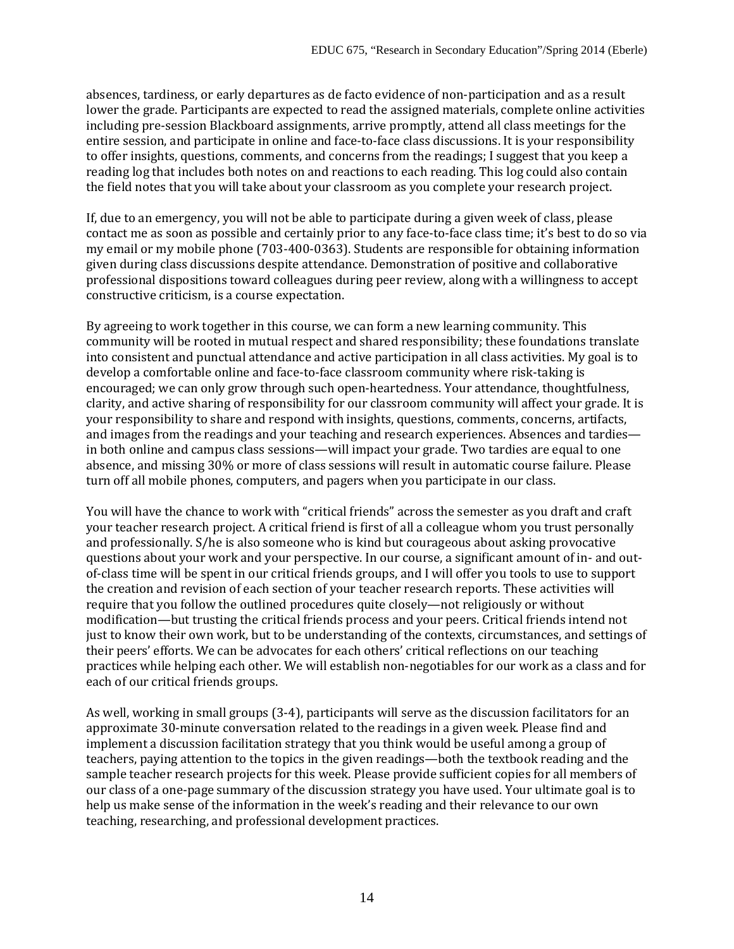absences, tardiness, or early departures as de facto evidence of non-participation and as a result lower the grade. Participants are expected to read the assigned materials, complete online activities including pre-session Blackboard assignments, arrive promptly, attend all class meetings for the entire session, and participate in online and face-to-face class discussions. It is your responsibility to offer insights, questions, comments, and concerns from the readings; I suggest that you keep a reading log that includes both notes on and reactions to each reading. This log could also contain the field notes that you will take about your classroom as you complete your research project.

If, due to an emergency, you will not be able to participate during a given week of class, please contact me as soon as possible and certainly prior to any face-to-face class time; it's best to do so via my email or my mobile phone (703-400-0363). Students are responsible for obtaining information given during class discussions despite attendance. Demonstration of positive and collaborative professional dispositions toward colleagues during peer review, along with a willingness to accept constructive criticism, is a course expectation.

By agreeing to work together in this course, we can form a new learning community. This community will be rooted in mutual respect and shared responsibility; these foundations translate into consistent and punctual attendance and active participation in all class activities. My goal is to develop a comfortable online and face-to-face classroom community where risk-taking is encouraged; we can only grow through such open-heartedness. Your attendance, thoughtfulness, clarity, and active sharing of responsibility for our classroom community will affect your grade. It is your responsibility to share and respond with insights, questions, comments, concerns, artifacts, and images from the readings and your teaching and research experiences. Absences and tardies in both online and campus class sessions—will impact your grade. Two tardies are equal to one absence, and missing 30% or more of class sessions will result in automatic course failure. Please turn off all mobile phones, computers, and pagers when you participate in our class.

You will have the chance to work with "critical friends" across the semester as you draft and craft your teacher research project. A critical friend is first of all a colleague whom you trust personally and professionally. S/he is also someone who is kind but courageous about asking provocative questions about your work and your perspective. In our course, a significant amount of in- and outof-class time will be spent in our critical friends groups, and I will offer you tools to use to support the creation and revision of each section of your teacher research reports. These activities will require that you follow the outlined procedures quite closely—not religiously or without modification—but trusting the critical friends process and your peers. Critical friends intend not just to know their own work, but to be understanding of the contexts, circumstances, and settings of their peers' efforts. We can be advocates for each others' critical reflections on our teaching practices while helping each other. We will establish non-negotiables for our work as a class and for each of our critical friends groups.

As well, working in small groups (3-4), participants will serve as the discussion facilitators for an approximate 30-minute conversation related to the readings in a given week. Please find and implement a discussion facilitation strategy that you think would be useful among a group of teachers, paying attention to the topics in the given readings—both the textbook reading and the sample teacher research projects for this week. Please provide sufficient copies for all members of our class of a one-page summary of the discussion strategy you have used. Your ultimate goal is to help us make sense of the information in the week's reading and their relevance to our own teaching, researching, and professional development practices.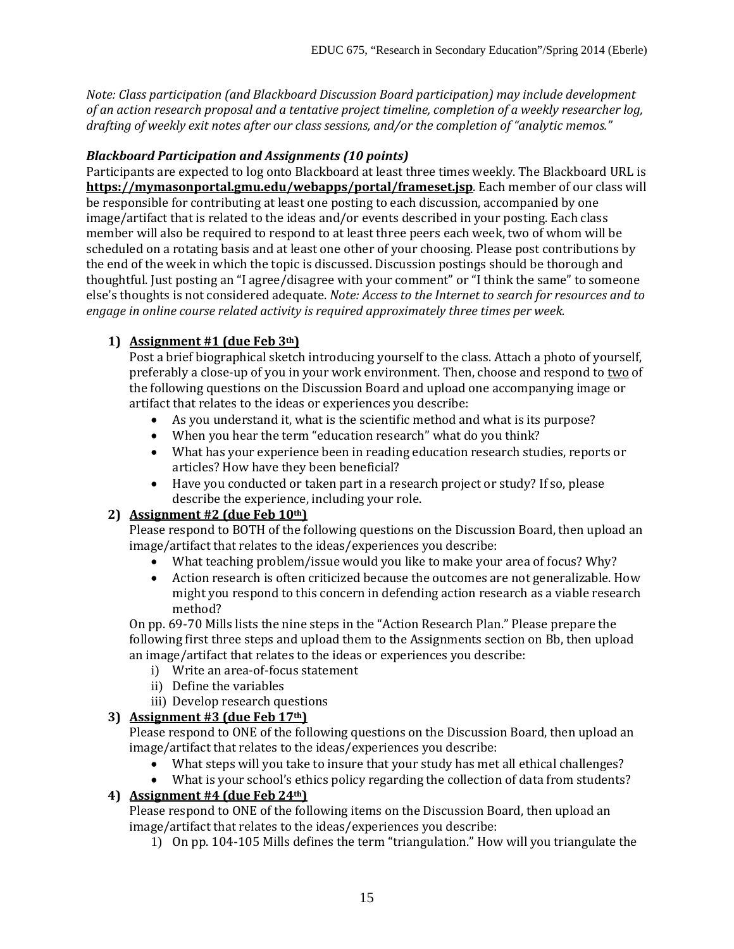*Note: Class participation (and Blackboard Discussion Board participation) may include development of an action research proposal and a tentative project timeline, completion of a weekly researcher log, drafting of weekly exit notes after our class sessions, and/or the completion of "analytic memos."*

### *Blackboard Participation and Assignments (10 points)*

Participants are expected to log onto Blackboard at least three times weekly. The Blackboard URL is **<https://mymasonportal.gmu.edu/webapps/portal/frameset.jsp>**. Each member of our class will be responsible for contributing at least one posting to each discussion, accompanied by one image/artifact that is related to the ideas and/or events described in your posting. Each class member will also be required to respond to at least three peers each week, two of whom will be scheduled on a rotating basis and at least one other of your choosing. Please post contributions by the end of the week in which the topic is discussed. Discussion postings should be thorough and thoughtful. Just posting an "I agree/disagree with your comment" or "I think the same" to someone else's thoughts is not considered adequate. *Note: Access to the Internet to search for resources and to engage in online course related activity is required approximately three times per week.* 

# **1) Assignment #1 (due Feb 3th)**

Post a brief biographical sketch introducing yourself to the class. Attach a photo of yourself, preferably a close-up of you in your work environment. Then, choose and respond to two of the following questions on the Discussion Board and upload one accompanying image or artifact that relates to the ideas or experiences you describe:

- As you understand it, what is the scientific method and what is its purpose?
- When you hear the term "education research" what do you think?
- What has your experience been in reading education research studies, reports or articles? How have they been beneficial?
- Have you conducted or taken part in a research project or study? If so, please describe the experience, including your role.

# **2) Assignment #2 (due Feb 10th)**

Please respond to BOTH of the following questions on the Discussion Board, then upload an image/artifact that relates to the ideas/experiences you describe:

- What teaching problem/issue would you like to make your area of focus? Why?<br>• Action research is often criticized because the outcomes are not generalizable. F
- Action research is often criticized because the outcomes are not generalizable. How might you respond to this concern in defending action research as a viable research method?

On pp. 69-70 Mills lists the nine steps in the "Action Research Plan." Please prepare the following first three steps and upload them to the Assignments section on Bb, then upload an image/artifact that relates to the ideas or experiences you describe:

- i) Write an area-of-focus statement
- ii) Define the variables
- iii) Develop research questions

# **3) Assignment #3 (due Feb 17th)**

Please respond to ONE of the following questions on the Discussion Board, then upload an image/artifact that relates to the ideas/experiences you describe:

- What steps will you take to insure that your study has met all ethical challenges?
- What is your school's ethics policy regarding the collection of data from students?

# **4) Assignment #4 (due Feb 24th)**

Please respond to ONE of the following items on the Discussion Board, then upload an image/artifact that relates to the ideas/experiences you describe:

1) On pp. 104-105 Mills defines the term "triangulation." How will you triangulate the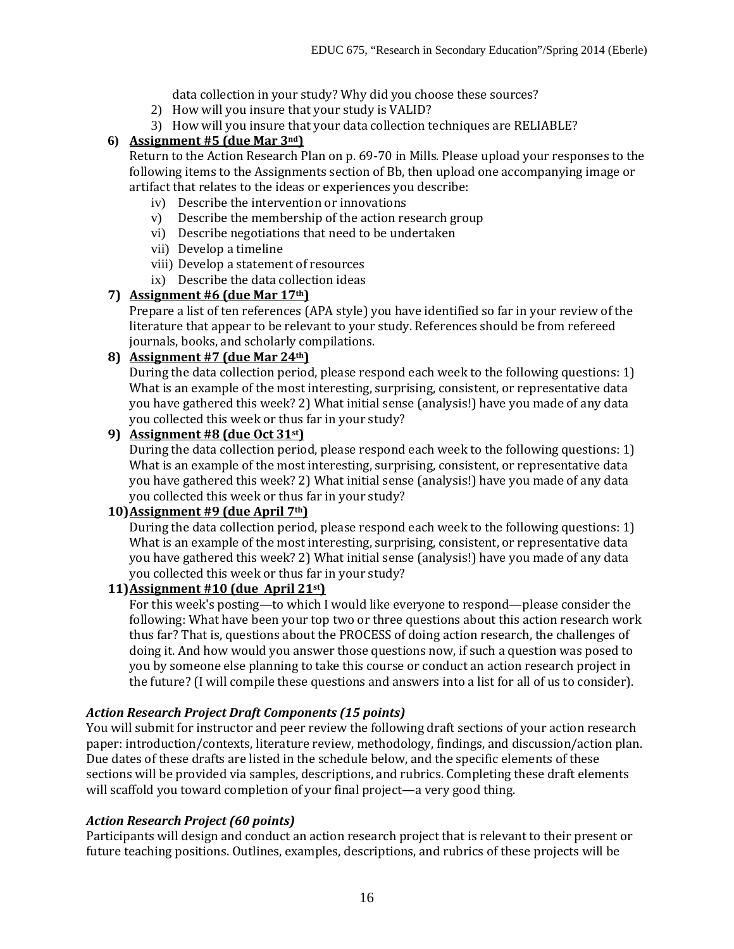data collection in your study? Why did you choose these sources?

- 2) How will you insure that your study is VALID?
- 3) How will you insure that your data collection techniques are RELIABLE?

# **6) Assignment #5 (due Mar 3nd)**

Return to the Action Research Plan on p. 69-70 in Mills. Please upload your responses to the following items to the Assignments section of Bb, then upload one accompanying image or artifact that relates to the ideas or experiences you describe:

- iv) Describe the intervention or innovations
- v) Describe the membership of the action research group
- vi) Describe negotiations that need to be undertaken
- vii) Develop a timeline
- viii) Develop a statement of resources
- ix) Describe the data collection ideas

# **7) Assignment #6 (due Mar 17th)**

Prepare a list of ten references (APA style) you have identified so far in your review of the literature that appear to be relevant to your study. References should be from refereed journals, books, and scholarly compilations.

### **8) Assignment #7 (due Mar 24th)**

During the data collection period, please respond each week to the following questions: 1) What is an example of the most interesting, surprising, consistent, or representative data you have gathered this week? 2) What initial sense (analysis!) have you made of any data you collected this week or thus far in your study?

### **9) Assignment #8 (due Oct 31st)**

During the data collection period, please respond each week to the following questions: 1) What is an example of the most interesting, surprising, consistent, or representative data you have gathered this week? 2) What initial sense (analysis!) have you made of any data you collected this week or thus far in your study?

### **10)Assignment #9 (due April 7th)**

During the data collection period, please respond each week to the following questions: 1) What is an example of the most interesting, surprising, consistent, or representative data you have gathered this week? 2) What initial sense (analysis!) have you made of any data you collected this week or thus far in your study?

## **11)Assignment #10 (due April 21st)**

For this week's posting—to which I would like everyone to respond—please consider the following: What have been your top two or three questions about this action research work thus far? That is, questions about the PROCESS of doing action research, the challenges of doing it. And how would you answer those questions now, if such a question was posed to you by someone else planning to take this course or conduct an action research project in the future? (I will compile these questions and answers into a list for all of us to consider).

# *Action Research Project Draft Components (15 points)*

You will submit for instructor and peer review the following draft sections of your action research paper: introduction/contexts, literature review, methodology, findings, and discussion/action plan. Due dates of these drafts are listed in the schedule below, and the specific elements of these sections will be provided via samples, descriptions, and rubrics. Completing these draft elements will scaffold you toward completion of your final project—a very good thing.

### *Action Research Project (60 points)*

Participants will design and conduct an action research project that is relevant to their present or future teaching positions. Outlines, examples, descriptions, and rubrics of these projects will be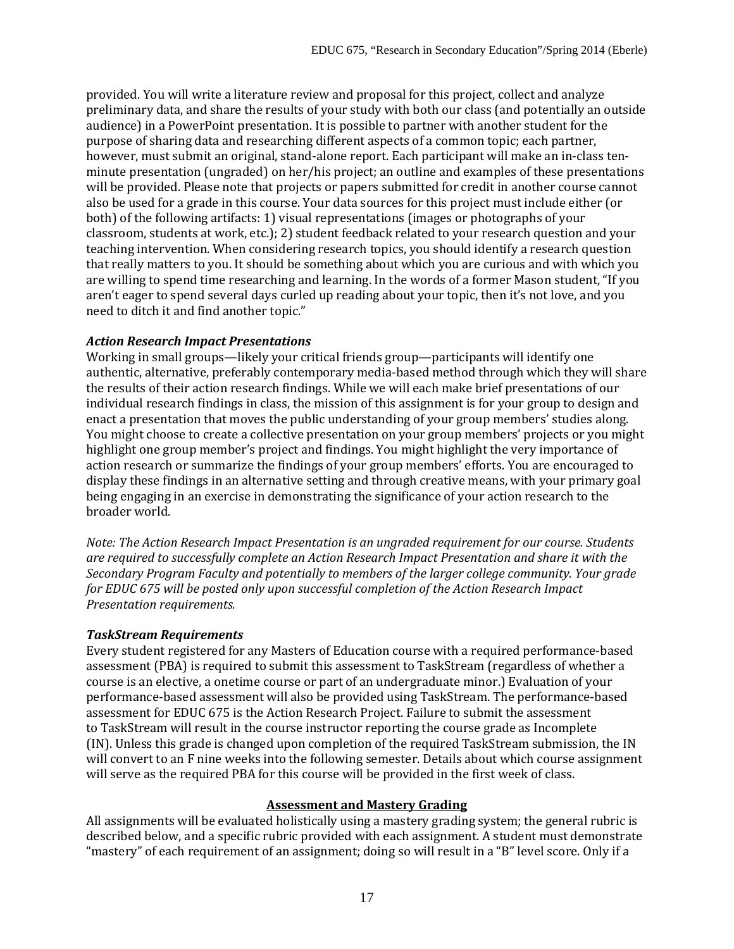provided. You will write a literature review and proposal for this project, collect and analyze preliminary data, and share the results of your study with both our class (and potentially an outside audience) in a PowerPoint presentation. It is possible to partner with another student for the purpose of sharing data and researching different aspects of a common topic; each partner, however, must submit an original, stand-alone report. Each participant will make an in-class tenminute presentation (ungraded) on her/his project; an outline and examples of these presentations will be provided. Please note that projects or papers submitted for credit in another course cannot also be used for a grade in this course. Your data sources for this project must include either (or both) of the following artifacts: 1) visual representations (images or photographs of your classroom, students at work, etc.); 2) student feedback related to your research question and your teaching intervention. When considering research topics, you should identify a research question that really matters to you. It should be something about which you are curious and with which you are willing to spend time researching and learning. In the words of a former Mason student, "If you aren't eager to spend several days curled up reading about your topic, then it's not love, and you need to ditch it and find another topic."

### *Action Research Impact Presentations*

Working in small groups—likely your critical friends group—participants will identify one authentic, alternative, preferably contemporary media-based method through which they will share the results of their action research findings. While we will each make brief presentations of our individual research findings in class, the mission of this assignment is for your group to design and enact a presentation that moves the public understanding of your group members' studies along. You might choose to create a collective presentation on your group members' projects or you might highlight one group member's project and findings. You might highlight the very importance of action research or summarize the findings of your group members' efforts. You are encouraged to display these findings in an alternative setting and through creative means, with your primary goal being engaging in an exercise in demonstrating the significance of your action research to the broader world.

*Note: The Action Research Impact Presentation is an ungraded requirement for our course. Students are required to successfully complete an Action Research Impact Presentation and share it with the Secondary Program Faculty and potentially to members of the larger college community. Your grade for EDUC 675 will be posted only upon successful completion of the Action Research Impact Presentation requirements.*

# *TaskStream Requirements*

Every student registered for any Masters of Education course with a required performance-based assessment (PBA) is required to submit this assessment to TaskStream (regardless of whether a course is an elective, a onetime course or part of an undergraduate minor.) Evaluation of your performance-based assessment will also be provided using TaskStream. The performance-based assessment for EDUC 675 is the Action Research Project. Failure to submit the assessment to TaskStream will result in the course instructor reporting the course grade as Incomplete (IN). Unless this grade is changed upon completion of the required TaskStream submission, the IN will convert to an F nine weeks into the following semester. Details about which course assignment will serve as the required PBA for this course will be provided in the first week of class.

# **Assessment and Mastery Grading**

All assignments will be evaluated holistically using a mastery grading system; the general rubric is described below, and a specific rubric provided with each assignment. A student must demonstrate "mastery" of each requirement of an assignment; doing so will result in a "B" level score. Only if a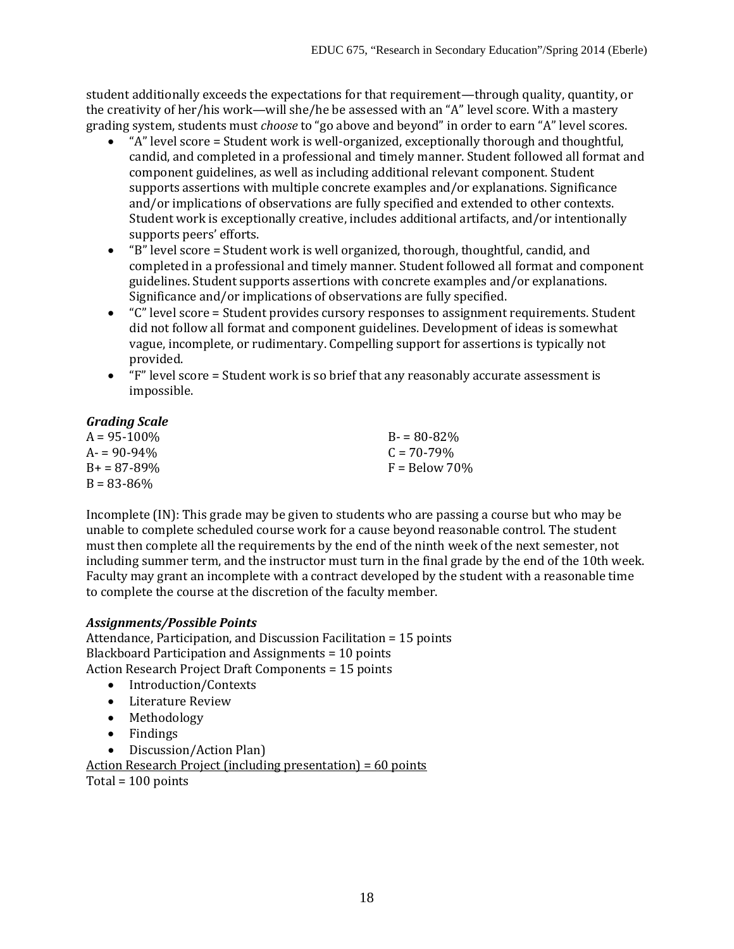student additionally exceeds the expectations for that requirement—through quality, quantity, or the creativity of her/his work—will she/he be assessed with an "A" level score. With a mastery grading system, students must *choose* to "go above and beyond" in order to earn "A" level scores.

- "A" level score = Student work is well-organized, exceptionally thorough and thoughtful, candid, and completed in a professional and timely manner. Student followed all format and component guidelines, as well as including additional relevant component. Student supports assertions with multiple concrete examples and/or explanations. Significance and/or implications of observations are fully specified and extended to other contexts. Student work is exceptionally creative, includes additional artifacts, and/or intentionally supports peers' efforts.
- "B" level score = Student work is well organized, thorough, thoughtful, candid, and completed in a professional and timely manner. Student followed all format and component guidelines. Student supports assertions with concrete examples and/or explanations. Significance and/or implications of observations are fully specified.
- "C" level score = Student provides cursory responses to assignment requirements. Student did not follow all format and component guidelines. Development of ideas is somewhat vague, incomplete, or rudimentary. Compelling support for assertions is typically not provided.
- "F" level score = Student work is so brief that any reasonably accurate assessment is impossible.

# *Grading Scale*

| $F =$ Below 70% |
|-----------------|
|                 |
|                 |

Incomplete (IN): This grade may be given to students who are passing a course but who may be unable to complete scheduled course work for a cause beyond reasonable control. The student must then complete all the requirements by the end of the ninth week of the next semester, not including summer term, and the instructor must turn in the final grade by the end of the 10th week. Faculty may grant an incomplete with a contract developed by the student with a reasonable time to complete the course at the discretion of the faculty member.

# *Assignments/Possible Points*

Attendance, Participation, and Discussion Facilitation = 15 points Blackboard Participation and Assignments = 10 points Action Research Project Draft Components = 15 points

- Introduction/Contexts
- Literature Review
- Methodology
- Findings
- Discussion/Action Plan)

Action Research Project (including presentation) = 60 points

Total = 100 points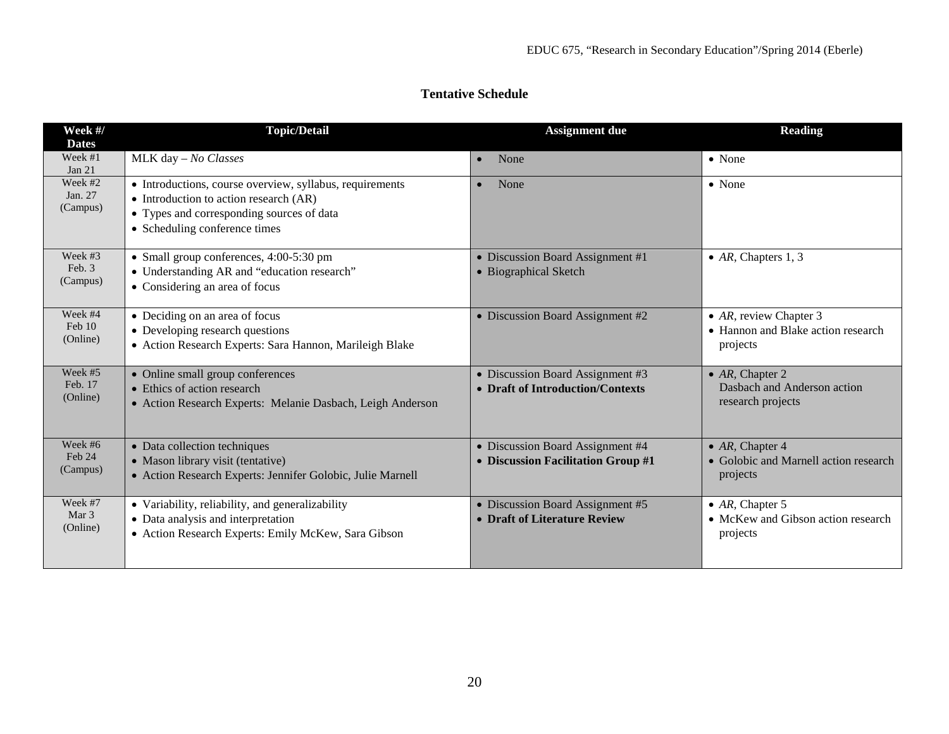| <b>Tentative Schedule</b> |  |
|---------------------------|--|
|                           |  |

| Week #/<br><b>Dates</b>        | <b>Topic/Detail</b>                                                                                                                                                                      | <b>Assignment due</b>                                                  | <b>Reading</b>                                                              |
|--------------------------------|------------------------------------------------------------------------------------------------------------------------------------------------------------------------------------------|------------------------------------------------------------------------|-----------------------------------------------------------------------------|
| Week #1<br>Jan $21$            | MLK day - No Classes                                                                                                                                                                     | None                                                                   | • None                                                                      |
| Week #2<br>Jan. 27<br>(Campus) | • Introductions, course overview, syllabus, requirements<br>$\bullet$ Introduction to action research (AR)<br>• Types and corresponding sources of data<br>• Scheduling conference times | None                                                                   | $\bullet$ None                                                              |
| Week #3<br>Feb. 3<br>(Campus)  | • Small group conferences, 4:00-5:30 pm<br>• Understanding AR and "education research"<br>• Considering an area of focus                                                                 | • Discussion Board Assignment #1<br>• Biographical Sketch              | • $AR$ , Chapters 1, 3                                                      |
| Week #4<br>Feb 10<br>(Online)  | • Deciding on an area of focus<br>• Developing research questions<br>• Action Research Experts: Sara Hannon, Marileigh Blake                                                             | • Discussion Board Assignment #2                                       | • $AR$ , review Chapter 3<br>• Hannon and Blake action research<br>projects |
| Week #5<br>Feb. 17<br>(Online) | • Online small group conferences<br>• Ethics of action research<br>• Action Research Experts: Melanie Dasbach, Leigh Anderson                                                            | • Discussion Board Assignment #3<br>• Draft of Introduction/Contexts   | • $AR$ , Chapter 2<br>Dasbach and Anderson action<br>research projects      |
| Week #6<br>Feb 24<br>(Campus)  | • Data collection techniques<br>• Mason library visit (tentative)<br>• Action Research Experts: Jennifer Golobic, Julie Marnell                                                          | • Discussion Board Assignment #4<br>• Discussion Facilitation Group #1 | • $AR$ , Chapter 4<br>• Golobic and Marnell action research<br>projects     |
| Week #7<br>Mar 3<br>(Online)   | • Variability, reliability, and generalizability<br>• Data analysis and interpretation<br>• Action Research Experts: Emily McKew, Sara Gibson                                            | • Discussion Board Assignment #5<br>• Draft of Literature Review       | • $AR$ , Chapter 5<br>• McKew and Gibson action research<br>projects        |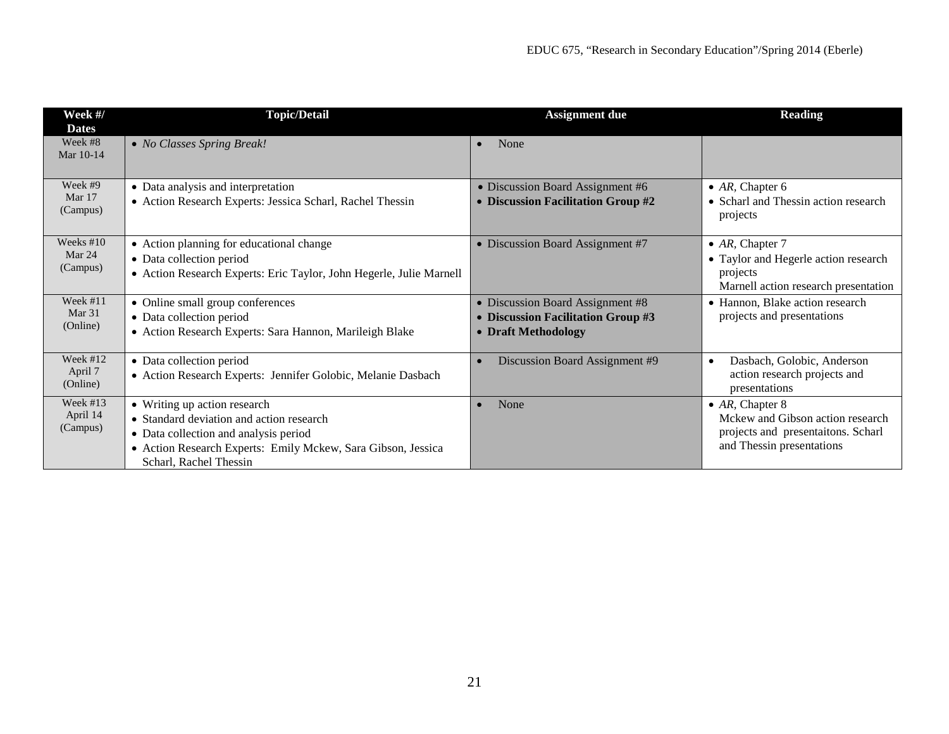| Week #/<br><b>Dates</b>            | <b>Topic/Detail</b>                                                                                                                                                                                         | <b>Assignment</b> due                                                                         | <b>Reading</b>                                                                                                                 |
|------------------------------------|-------------------------------------------------------------------------------------------------------------------------------------------------------------------------------------------------------------|-----------------------------------------------------------------------------------------------|--------------------------------------------------------------------------------------------------------------------------------|
| Week #8<br>Mar 10-14               | • No Classes Spring Break!                                                                                                                                                                                  | None                                                                                          |                                                                                                                                |
| Week #9<br>Mar 17<br>(Campus)      | • Data analysis and interpretation<br>• Action Research Experts: Jessica Scharl, Rachel Thessin                                                                                                             | • Discussion Board Assignment #6<br>• Discussion Facilitation Group #2                        | • $AR$ , Chapter 6<br>• Scharl and Thessin action research<br>projects                                                         |
| Weeks $#10$<br>Mar 24<br>(Campus)  | • Action planning for educational change<br>• Data collection period<br>• Action Research Experts: Eric Taylor, John Hegerle, Julie Marnell                                                                 | • Discussion Board Assignment #7                                                              | $\bullet$ AR, Chapter 7<br>• Taylor and Hegerle action research<br>projects<br>Marnell action research presentation            |
| Week #11<br>Mar 31<br>(Online)     | • Online small group conferences<br>• Data collection period<br>· Action Research Experts: Sara Hannon, Marileigh Blake                                                                                     | • Discussion Board Assignment #8<br>• Discussion Facilitation Group #3<br>• Draft Methodology | • Hannon, Blake action research<br>projects and presentations                                                                  |
| Week $#12$<br>April 7<br>(Online)  | • Data collection period<br>• Action Research Experts: Jennifer Golobic, Melanie Dasbach                                                                                                                    | Discussion Board Assignment #9                                                                | Dasbach, Golobic, Anderson<br>$\bullet$<br>action research projects and<br>presentations                                       |
| Week $#13$<br>April 14<br>(Campus) | • Writing up action research<br>• Standard deviation and action research<br>• Data collection and analysis period<br>• Action Research Experts: Emily Mckew, Sara Gibson, Jessica<br>Scharl, Rachel Thessin | None                                                                                          | $\bullet$ AR, Chapter 8<br>Mckew and Gibson action research<br>projects and presentaitons. Scharl<br>and Thessin presentations |